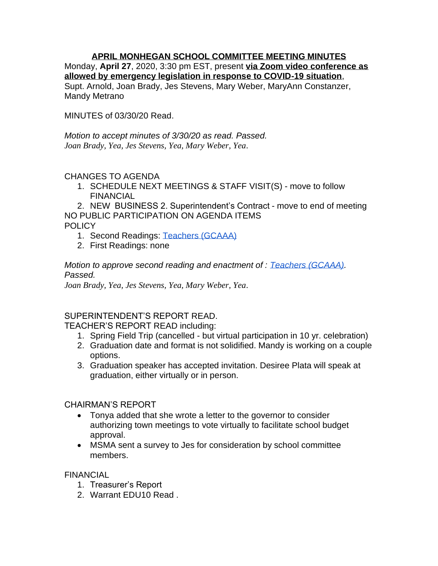### **APRIL MONHEGAN SCHOOL COMMITTEE MEETING MINUTES**

Monday, **April 27**, 2020, 3:30 pm EST, present **via Zoom video conference as allowed by emergency legislation in response to COVID-19 situation**, Supt. Arnold, Joan Brady, Jes Stevens, Mary Weber, MaryAnn Constanzer, Mandy Metrano

MINUTES of 03/30/20 Read.

*Motion to accept minutes of 3/30/20 as read. Passed. Joan Brady, Yea, Jes Stevens, Yea, Mary Weber, Yea.*

## CHANGES TO AGENDA

1. SCHEDULE NEXT MEETINGS & STAFF VISIT(S) - move to follow FINANCIAL

2. NEW BUSINESS 2. Superintendent's Contract - move to end of meeting NO PUBLIC PARTICIPATION ON AGENDA ITEMS **POLICY** 

- 1. Second Readings: [Teachers \(GCAAA\)](https://docs.google.com/document/d/1n8AocIvR23qfQju7Tfw6kGoo1SK9Q6SICF42T42uhss/edit?usp=sharing)
- 2. First Readings: none

*Motion to approve second reading and enactment of : [Teachers \(GCAAA\).](https://docs.google.com/document/d/1n8AocIvR23qfQju7Tfw6kGoo1SK9Q6SICF42T42uhss/edit?usp=sharing) Passed.* 

*Joan Brady, Yea, Jes Stevens, Yea, Mary Weber, Yea.*

## SUPERINTENDENT'S REPORT READ.

TEACHER'S REPORT READ including:

- 1. Spring Field Trip (cancelled but virtual participation in 10 yr. celebration)
- 2. Graduation date and format is not solidified. Mandy is working on a couple options.
- 3. Graduation speaker has accepted invitation. Desiree Plata will speak at graduation, either virtually or in person.

## CHAIRMAN'S REPORT

- Tonya added that she wrote a letter to the governor to consider authorizing town meetings to vote virtually to facilitate school budget approval.
- MSMA sent a survey to Jes for consideration by school committee members.

FINANCIAL

- 1. Treasurer's Report
- 2. Warrant EDU10 Read .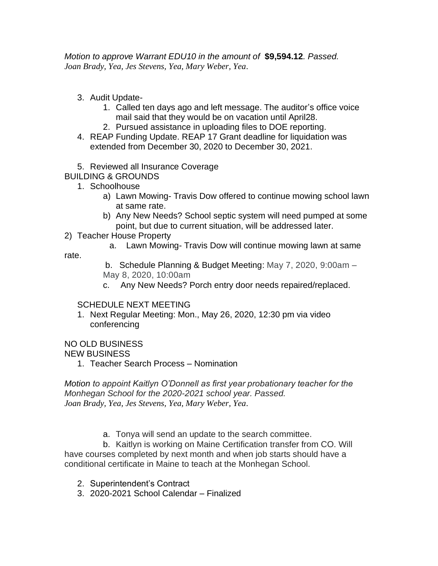*Motion to approve Warrant EDU10 in the amount of* **\$9,594.12***. Passed. Joan Brady, Yea, Jes Stevens, Yea, Mary Weber, Yea.*

- 3. Audit Update-
	- 1. Called ten days ago and left message. The auditor's office voice mail said that they would be on vacation until April28.
	- 2. Pursued assistance in uploading files to DOE reporting.
- 4. REAP Funding Update. REAP 17 Grant deadline for liquidation was extended from December 30, 2020 to December 30, 2021.
- 5. Reviewed all Insurance Coverage
- BUILDING & GROUNDS
	- 1. Schoolhouse
		- a) Lawn Mowing- Travis Dow offered to continue mowing school lawn at same rate.
		- b) Any New Needs? School septic system will need pumped at some point, but due to current situation, will be addressed later.
- 2) Teacher House Property
	- a. Lawn Mowing- Travis Dow will continue mowing lawn at same

rate.

- b. Schedule Planning & Budget Meeting: May 7, 2020, 9:00am May 8, 2020, 10:00am
- c. Any New Needs? Porch entry door needs repaired/replaced.

## SCHEDULE NEXT MEETING

1. Next Regular Meeting: Mon., May 26, 2020, 12:30 pm via video conferencing

# NO OLD BUSINESS

NEW BUSINESS

1. Teacher Search Process – Nomination

*Motion to appoint Kaitlyn O'Donnell as first year probationary teacher for the Monhegan School for the 2020-2021 school year. Passed. Joan Brady, Yea, Jes Stevens, Yea, Mary Weber, Yea.*

a. Tonya will send an update to the search committee.

b. Kaitlyn is working on Maine Certification transfer from CO. Will have courses completed by next month and when job starts should have a conditional certificate in Maine to teach at the Monhegan School.

- 2. Superintendent's Contract
- 3. 2020-2021 School Calendar Finalized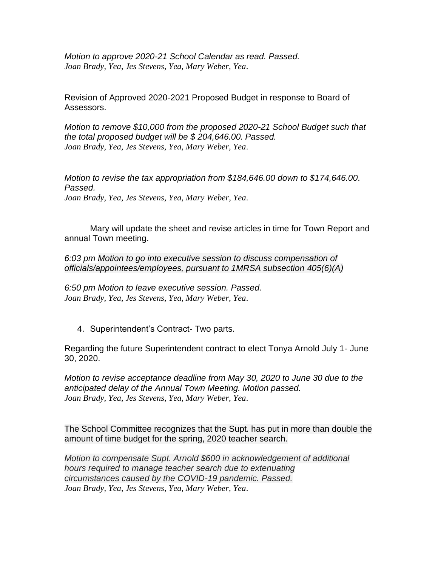*Motion to approve 2020-21 School Calendar as read. Passed. Joan Brady, Yea, Jes Stevens, Yea, Mary Weber, Yea.*

Revision of Approved 2020-2021 Proposed Budget in response to Board of Assessors.

*Motion to remove \$10,000 from the proposed 2020-21 School Budget such that the total proposed budget will be \$ 204,646.00. Passed. Joan Brady, Yea, Jes Stevens, Yea, Mary Weber, Yea.*

*Motion to revise the tax appropriation from \$184,646.00 down to \$174,646.00. Passed. Joan Brady, Yea, Jes Stevens, Yea, Mary Weber, Yea.*

Mary will update the sheet and revise articles in time for Town Report and annual Town meeting.

*6:03 pm Motion to go into executive session to discuss compensation of officials/appointees/employees, pursuant to 1MRSA subsection 405(6)(A)*

*6:50 pm Motion to leave executive session. Passed. Joan Brady, Yea, Jes Stevens, Yea, Mary Weber, Yea.*

4. Superintendent's Contract- Two parts.

Regarding the future Superintendent contract to elect Tonya Arnold July 1- June 30, 2020.

*Motion to revise acceptance deadline from May 30, 2020 to June 30 due to the anticipated delay of the Annual Town Meeting. Motion passed. Joan Brady, Yea, Jes Stevens, Yea, Mary Weber, Yea.*

The School Committee recognizes that the Supt. has put in more than double the amount of time budget for the spring, 2020 teacher search.

*Motion to compensate Supt. Arnold \$600 in acknowledgement of additional hours required to manage teacher search due to extenuating circumstances caused by the COVID-19 pandemic. Passed. Joan Brady, Yea, Jes Stevens, Yea, Mary Weber, Yea.*